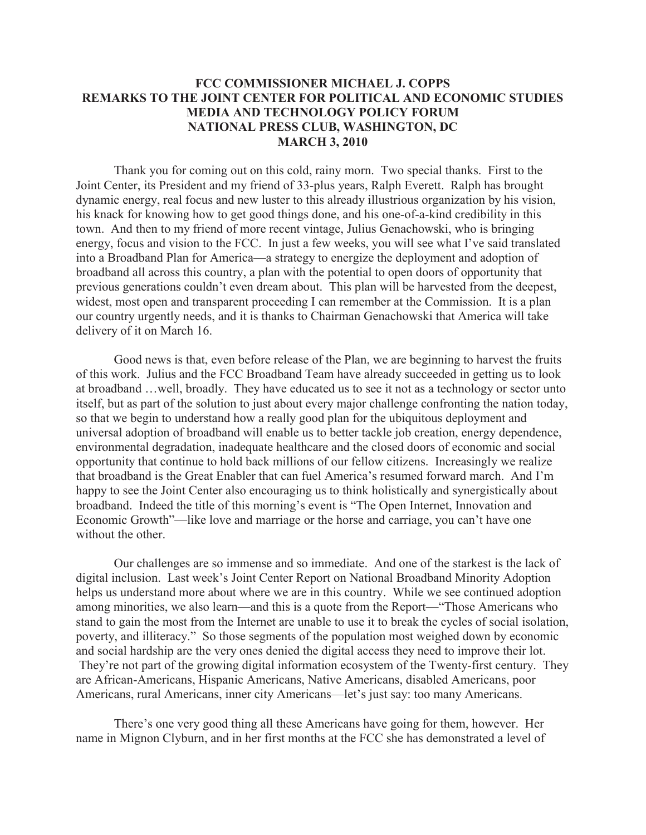## **FCC COMMISSIONER MICHAEL J. COPPS REMARKS TO THE JOINT CENTER FOR POLITICAL AND ECONOMIC STUDIES MEDIA AND TECHNOLOGY POLICY FORUM NATIONAL PRESS CLUB, WASHINGTON, DC MARCH 3, 2010**

Thank you for coming out on this cold, rainy morn. Two special thanks. First to the Joint Center, its President and my friend of 33-plus years, Ralph Everett. Ralph has brought dynamic energy, real focus and new luster to this already illustrious organization by his vision, his knack for knowing how to get good things done, and his one-of-a-kind credibility in this town. And then to my friend of more recent vintage, Julius Genachowski, who is bringing energy, focus and vision to the FCC. In just a few weeks, you will see what I've said translated into a Broadband Plan for America—a strategy to energize the deployment and adoption of broadband all across this country, a plan with the potential to open doors of opportunity that previous generations couldn't even dream about. This plan will be harvested from the deepest, widest, most open and transparent proceeding I can remember at the Commission. It is a plan our country urgently needs, and it is thanks to Chairman Genachowski that America will take delivery of it on March 16.

Good news is that, even before release of the Plan, we are beginning to harvest the fruits of this work. Julius and the FCC Broadband Team have already succeeded in getting us to look at broadband …well, broadly. They have educated us to see it not as a technology or sector unto itself, but as part of the solution to just about every major challenge confronting the nation today, so that we begin to understand how a really good plan for the ubiquitous deployment and universal adoption of broadband will enable us to better tackle job creation, energy dependence, environmental degradation, inadequate healthcare and the closed doors of economic and social opportunity that continue to hold back millions of our fellow citizens. Increasingly we realize that broadband is the Great Enabler that can fuel America's resumed forward march. And I'm happy to see the Joint Center also encouraging us to think holistically and synergistically about broadband. Indeed the title of this morning's event is "The Open Internet, Innovation and Economic Growth"—like love and marriage or the horse and carriage, you can't have one without the other.

Our challenges are so immense and so immediate. And one of the starkest is the lack of digital inclusion. Last week's Joint Center Report on National Broadband Minority Adoption helps us understand more about where we are in this country. While we see continued adoption among minorities, we also learn—and this is a quote from the Report—"Those Americans who stand to gain the most from the Internet are unable to use it to break the cycles of social isolation, poverty, and illiteracy." So those segments of the population most weighed down by economic and social hardship are the very ones denied the digital access they need to improve their lot. They're not part of the growing digital information ecosystem of the Twenty-first century. They are African-Americans, Hispanic Americans, Native Americans, disabled Americans, poor Americans, rural Americans, inner city Americans—let's just say: too many Americans.

There's one very good thing all these Americans have going for them, however. Her name in Mignon Clyburn, and in her first months at the FCC she has demonstrated a level of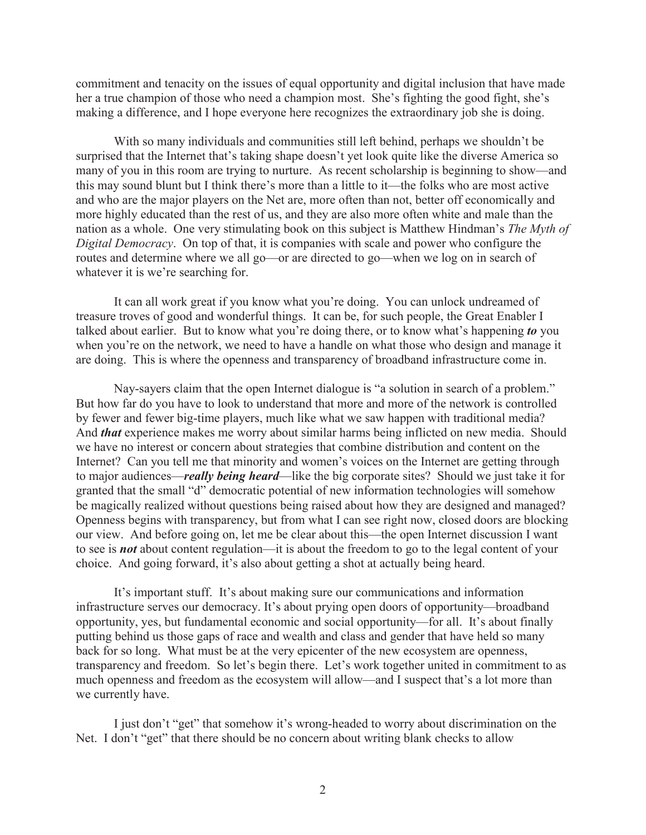commitment and tenacity on the issues of equal opportunity and digital inclusion that have made her a true champion of those who need a champion most. She's fighting the good fight, she's making a difference, and I hope everyone here recognizes the extraordinary job she is doing.

With so many individuals and communities still left behind, perhaps we shouldn't be surprised that the Internet that's taking shape doesn't yet look quite like the diverse America so many of you in this room are trying to nurture. As recent scholarship is beginning to show—and this may sound blunt but I think there's more than a little to it—the folks who are most active and who are the major players on the Net are, more often than not, better off economically and more highly educated than the rest of us, and they are also more often white and male than the nation as a whole. One very stimulating book on this subject is Matthew Hindman's *The Myth of Digital Democracy*. On top of that, it is companies with scale and power who configure the routes and determine where we all go—or are directed to go—when we log on in search of whatever it is we're searching for.

It can all work great if you know what you're doing. You can unlock undreamed of treasure troves of good and wonderful things. It can be, for such people, the Great Enabler I talked about earlier. But to know what you're doing there, or to know what's happening *to* you when you're on the network, we need to have a handle on what those who design and manage it are doing. This is where the openness and transparency of broadband infrastructure come in.

Nay-sayers claim that the open Internet dialogue is "a solution in search of a problem." But how far do you have to look to understand that more and more of the network is controlled by fewer and fewer big-time players, much like what we saw happen with traditional media? And *that* experience makes me worry about similar harms being inflicted on new media. Should we have no interest or concern about strategies that combine distribution and content on the Internet? Can you tell me that minority and women's voices on the Internet are getting through to major audiences—*really being heard*—like the big corporate sites? Should we just take it for granted that the small "d" democratic potential of new information technologies will somehow be magically realized without questions being raised about how they are designed and managed? Openness begins with transparency, but from what I can see right now, closed doors are blocking our view. And before going on, let me be clear about this—the open Internet discussion I want to see is *not* about content regulation—it is about the freedom to go to the legal content of your choice. And going forward, it's also about getting a shot at actually being heard.

It's important stuff. It's about making sure our communications and information infrastructure serves our democracy. It's about prying open doors of opportunity—broadband opportunity, yes, but fundamental economic and social opportunity—for all. It's about finally putting behind us those gaps of race and wealth and class and gender that have held so many back for so long. What must be at the very epicenter of the new ecosystem are openness, transparency and freedom. So let's begin there. Let's work together united in commitment to as much openness and freedom as the ecosystem will allow—and I suspect that's a lot more than we currently have.

I just don't "get" that somehow it's wrong-headed to worry about discrimination on the Net. I don't "get" that there should be no concern about writing blank checks to allow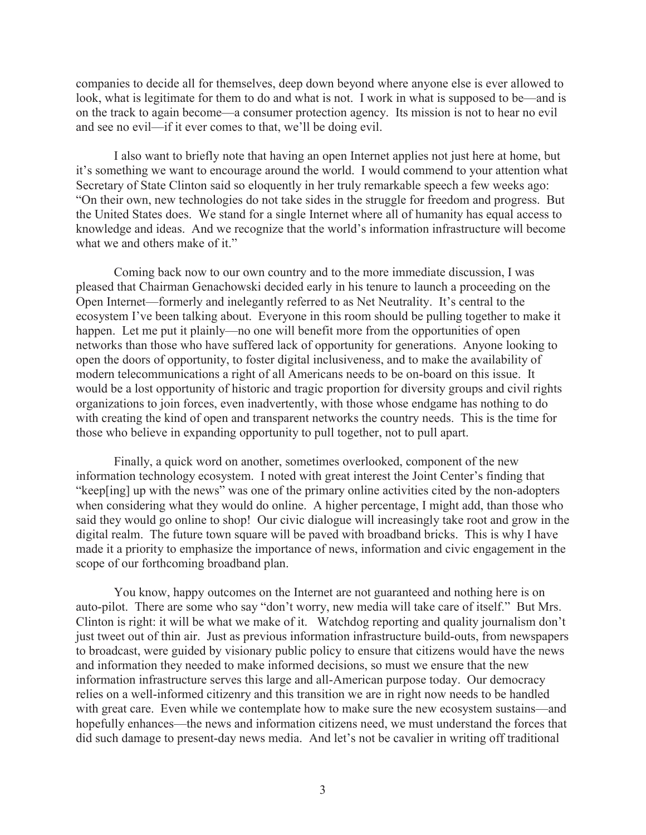companies to decide all for themselves, deep down beyond where anyone else is ever allowed to look, what is legitimate for them to do and what is not. I work in what is supposed to be—and is on the track to again become—a consumer protection agency. Its mission is not to hear no evil and see no evil—if it ever comes to that, we'll be doing evil.

I also want to briefly note that having an open Internet applies not just here at home, but it's something we want to encourage around the world. I would commend to your attention what Secretary of State Clinton said so eloquently in her truly remarkable speech a few weeks ago: "On their own, new technologies do not take sides in the struggle for freedom and progress. But the United States does. We stand for a single Internet where all of humanity has equal access to knowledge and ideas. And we recognize that the world's information infrastructure will become what we and others make of it."

Coming back now to our own country and to the more immediate discussion, I was pleased that Chairman Genachowski decided early in his tenure to launch a proceeding on the Open Internet—formerly and inelegantly referred to as Net Neutrality. It's central to the ecosystem I've been talking about. Everyone in this room should be pulling together to make it happen. Let me put it plainly—no one will benefit more from the opportunities of open networks than those who have suffered lack of opportunity for generations. Anyone looking to open the doors of opportunity, to foster digital inclusiveness, and to make the availability of modern telecommunications a right of all Americans needs to be on-board on this issue. It would be a lost opportunity of historic and tragic proportion for diversity groups and civil rights organizations to join forces, even inadvertently, with those whose endgame has nothing to do with creating the kind of open and transparent networks the country needs. This is the time for those who believe in expanding opportunity to pull together, not to pull apart.

Finally, a quick word on another, sometimes overlooked, component of the new information technology ecosystem. I noted with great interest the Joint Center's finding that "keep[ing] up with the news" was one of the primary online activities cited by the non-adopters when considering what they would do online. A higher percentage, I might add, than those who said they would go online to shop! Our civic dialogue will increasingly take root and grow in the digital realm. The future town square will be paved with broadband bricks. This is why I have made it a priority to emphasize the importance of news, information and civic engagement in the scope of our forthcoming broadband plan.

You know, happy outcomes on the Internet are not guaranteed and nothing here is on auto-pilot. There are some who say "don't worry, new media will take care of itself." But Mrs. Clinton is right: it will be what we make of it. Watchdog reporting and quality journalism don't just tweet out of thin air. Just as previous information infrastructure build-outs, from newspapers to broadcast, were guided by visionary public policy to ensure that citizens would have the news and information they needed to make informed decisions, so must we ensure that the new information infrastructure serves this large and all-American purpose today. Our democracy relies on a well-informed citizenry and this transition we are in right now needs to be handled with great care. Even while we contemplate how to make sure the new ecosystem sustains—and hopefully enhances—the news and information citizens need, we must understand the forces that did such damage to present-day news media. And let's not be cavalier in writing off traditional